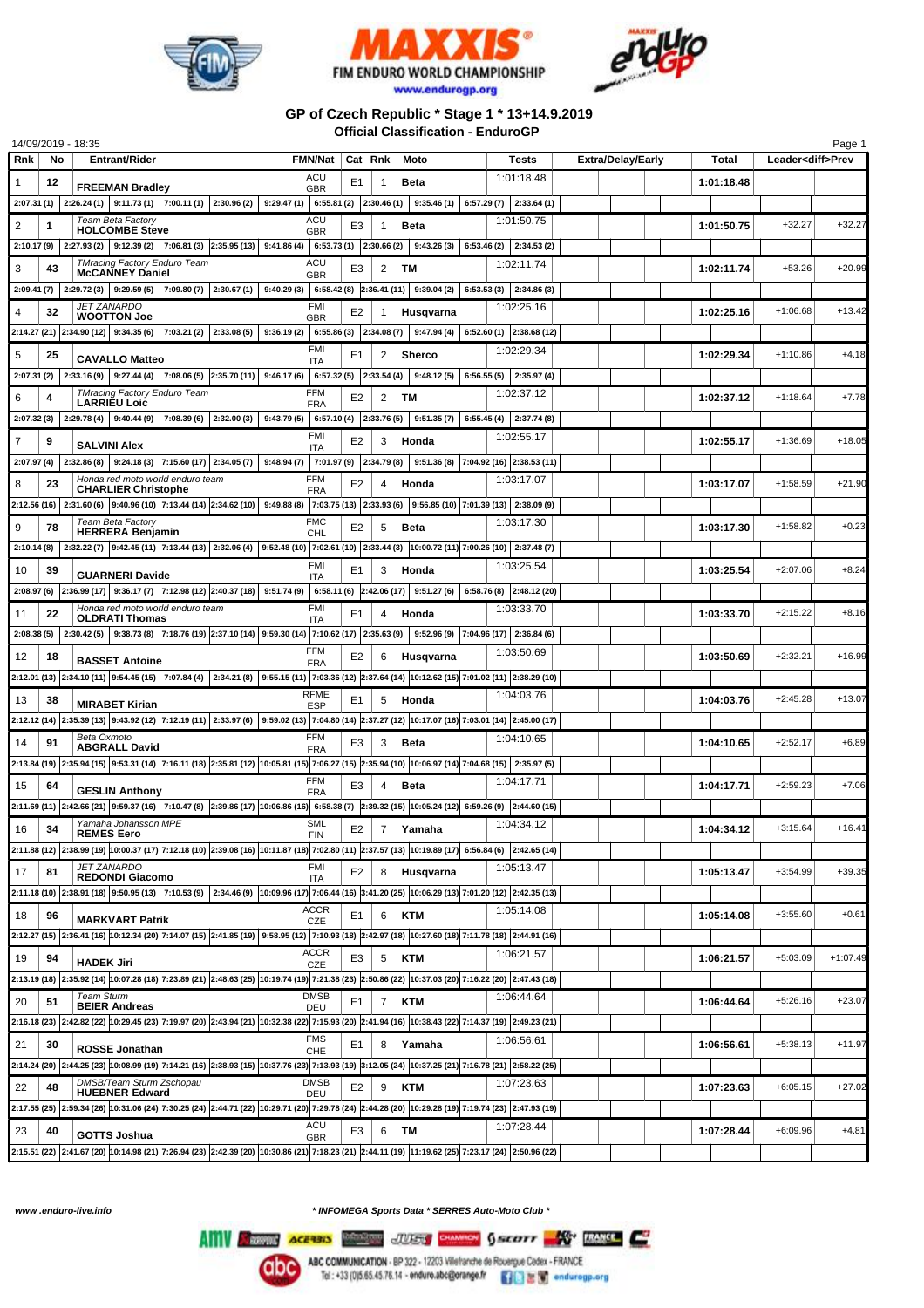





## **GP of Czech Republic \* Stage 1 \* 13+14.9.2019 Official Classification - EnduroGP**

|                |    | 14/09/2019 - 18:35                                                                                                                                                            |                           |                |                         |                                                |                                                                         |                          |            |                          | Page 1     |
|----------------|----|-------------------------------------------------------------------------------------------------------------------------------------------------------------------------------|---------------------------|----------------|-------------------------|------------------------------------------------|-------------------------------------------------------------------------|--------------------------|------------|--------------------------|------------|
| Rnk            | No | <b>Entrant/Rider</b>                                                                                                                                                          | <b>FMN/Nat</b>            | Cat Rnk        |                         | Moto                                           | <b>Tests</b>                                                            | <b>Extra/Delay/Early</b> | Total      | Leader <diff>Prev</diff> |            |
| 1              | 12 | <b>FREEMAN Bradley</b>                                                                                                                                                        | ACU<br><b>GBR</b>         | E1             | 1                       | <b>Beta</b>                                    | 1:01:18.48                                                              |                          | 1:01:18.48 |                          |            |
|                |    | $2:07.31(1)$ $2:26.24(1)$ $9:11.73(1)$ $7:00.11(1)$ $2:30.96(2)$                                                                                                              |                           |                |                         |                                                | 9:29.47 (1) 6:55.81 (2) 2:30.46 (1) 9:35.46 (1) 6:57.29 (7) 2:33.64 (1) |                          |            |                          |            |
| 2              | 1  | Team Beta Factory                                                                                                                                                             | ACU                       | E3             | 1                       | Beta                                           | 1:01:50.75                                                              |                          | 1:01:50.75 | $+32.27$                 | $+32.27$   |
| 2:10.17 (9)    |    | <b>HOLCOMBE Steve</b><br>$2:27.93(2)$ 9:12.39(2)<br>$7:06.81(3)$ 2:35.95 (13) 9:41.86 (4)                                                                                     | <b>GBR</b>                |                | $6:53.73(1)$ 2:30.66(2) | 9:43.26(3)                                     | $6:53.46(2)$ 2:34.53(2)                                                 |                          |            |                          |            |
|                |    | <b>TMracing Factory Enduro Team</b>                                                                                                                                           | ACU                       |                |                         |                                                | 1:02:11.74                                                              |                          |            |                          |            |
| 3              | 43 | <b>McCANNEY Daniel</b>                                                                                                                                                        | <b>GBR</b>                | E3             | 2                       | ТM                                             |                                                                         |                          | 1:02:11.74 | $+53.26$                 | $+20.99$   |
|                |    | 2:09.41 (7) 2:29.72 (3) 9:29.59 (5) 7:09.80 (7) 2:30.67 (1)                                                                                                                   |                           |                |                         | $9:40.29(3)$ 6:58.42(8) 2:36.41(11) 9:39.04(2) | $6:53.53(3)$ 2:34.86(3)                                                 |                          |            |                          |            |
| 4              | 32 | <b>JET ZANARDO</b><br><b>WOOTTON Joe</b>                                                                                                                                      | <b>FMI</b><br><b>GBR</b>  | E <sub>2</sub> | 1                       | Husavarna                                      | 1:02:25.16                                                              |                          | 1:02:25.16 | $+1:06.68$               | $+13.42$   |
|                |    | 2:14.27 (21) 2:34.90 (12) 9:34.35 (6) 7:03.21 (2) 2:33.08 (5)                                                                                                                 |                           |                |                         | $9:36.19(2)$ 6:55.86(3) 2:34.08(7) 9:47.94(4)  | $6:52.60(1)$ 2:38.68 (12)                                               |                          |            |                          |            |
| 5              | 25 | <b>CAVALLO Matteo</b>                                                                                                                                                         | FMI                       | E1             | 2                       | Sherco                                         | 1:02:29.34                                                              |                          | 1:02:29.34 | $+1:10.86$               | $+4.18$    |
|                |    | $2:07.31(2)$ $2:33.16(9)$ $9:27.44(4)$ $7:08.06(5)$ $2:35.70(11)$ $9:46.17(6)$                                                                                                | <b>ITA</b>                |                | 6:57.32(5)   2:33.54(4) | 9:48.12(5)                                     | $6:56.55(5)$ 2:35.97(4)                                                 |                          |            |                          |            |
|                |    | <b>TMracing Factory Enduro Team</b>                                                                                                                                           | <b>FFM</b>                |                |                         |                                                | 1:02:37.12                                                              |                          |            | $+1:18.64$               | $+7.78$    |
| 6              | 4  | <b>LARRIEU Loic</b>                                                                                                                                                           | <b>FRA</b>                | E <sub>2</sub> | 2                       | TМ                                             |                                                                         |                          | 1:02:37.12 |                          |            |
| 2:07.32(3)     |    | $2:29.78(4)$ 9:40.44 (9)<br>$7:08.39(6)$ 2:32.00(3)<br>9:43.79(5)                                                                                                             |                           |                | $6:57.10(4)$ 2:33.76(5) | 9:51.35(7)                                     | $6:55.45(4)$ 2:37.74 (8)                                                |                          |            |                          |            |
| $\overline{7}$ | 9  | <b>SALVINI Alex</b>                                                                                                                                                           | FMI<br><b>ITA</b>         | E2             | 3                       | Honda                                          | 1:02:55.17                                                              |                          | 1:02:55.17 | $+1:36.69$               | $+18.05$   |
| 2:07.97 (4)    |    | $2:32.86(8)$ 9:24.18(3) 7:15.60(17) 2:34.05(7)<br>9:48.94(7)                                                                                                                  |                           |                |                         |                                                | $7:01.97(9)$ $2:34.79(8)$ $9:51.36(8)$ $7:04.92(16)$ $2:38.53(11)$      |                          |            |                          |            |
| 8              | 23 | Honda red moto world enduro team<br><b>CHARLIER Christophe</b>                                                                                                                | <b>FFM</b>                | E <sub>2</sub> | 4                       | Honda                                          | 1:03:17.07                                                              |                          | 1:03:17.07 | $+1:58.59$               | $+21.90$   |
|                |    | 2:12.56 (16) 2:31.60 (6) 9:40.96 (10) 7:13.44 (14) 2:34.62 (10) 9:49.88 (8) 7:03.75 (13) 2:33.93 (6) 9:56.85 (10) 7:01.39 (13) 2:38.09 (9)                                    | <b>FRA</b>                |                |                         |                                                |                                                                         |                          |            |                          |            |
|                |    | Team Beta Factory                                                                                                                                                             | <b>FMC</b>                |                |                         |                                                | 1:03:17.30                                                              |                          |            | $+1:58.82$               | $+0.23$    |
| 9              | 78 | <b>HERRERA Beniamin</b>                                                                                                                                                       | CHL                       | E <sub>2</sub> | 5                       | <b>Beta</b>                                    |                                                                         |                          | 1:03:17.30 |                          |            |
|                |    | 2:10.14 (8) 2:32.22 (7) 9:42.45 (11) 7:13.44 (13) 2:32.06 (4) 9:52.48 (10) 7:02.61 (10) 2:33.44 (3) 10:00.72 (11) 7:00.26 (10) 2:37.48 (7)                                    |                           |                |                         |                                                |                                                                         |                          |            |                          |            |
| 10             | 39 | <b>GUARNERI Davide</b>                                                                                                                                                        | FMI<br><b>ITA</b>         | E1             | 3                       | Honda                                          | 1:03:25.54                                                              |                          | 1:03:25.54 | $+2:07.06$               | $+8.24$    |
|                |    | 2:08.97 (6) 2:36.99 (17) 9:36.17 (7) 7:12.98 (12) 2:40.37 (18) 9:51.74 (9) 6:58.11 (6) 2:42.06 (17) 9:51.27 (6)                                                               |                           |                |                         |                                                | $6:58.76(8)$ 2:48.12 (20)                                               |                          |            |                          |            |
| 11             | 22 | Honda red moto world enduro team<br><b>OLDRATI Thomas</b>                                                                                                                     | <b>FMI</b>                | E1             | 4                       | Honda                                          | 1:03:33.70                                                              |                          | 1:03:33.70 | $+2:15.22$               | $+8.16$    |
|                |    | $2:08.38(5)$ $2:30.42(5)$ $9:38.73(8)$ $7:18.76(19)$ $2:37.10(14)$ $9:59.30(14)$ $7:10.62(17)$ $2:35.63(9)$                                                                   | <b>ITA</b>                |                |                         |                                                | $9:52.96(9)$ 7:04.96 (17) 2:36.84 (6)                                   |                          |            |                          |            |
|                |    |                                                                                                                                                                               | <b>FFM</b>                |                |                         |                                                | 1:03:50.69                                                              |                          |            | $+2:32.21$               | $+16.99$   |
| 12             | 18 | <b>BASSET Antoine</b>                                                                                                                                                         | <b>FRA</b>                | E <sub>2</sub> | 6                       | Husqvarna                                      |                                                                         |                          | 1:03:50.69 |                          |            |
|                |    | 2:12.01 (13) 2:34.10 (11) 9:54.45 (15) 7:07.84 (4) 2:34.21 (8) 9:55.15 (11) 7:03.36 (12) 2:37.64 (14) 10:12.62 (15) 7:01.02 (11) 2:38.29 (10)                                 |                           |                |                         |                                                |                                                                         |                          |            |                          |            |
| 13             | 38 | <b>MIRABET Kirian</b>                                                                                                                                                         | RFME<br><b>ESP</b>        | E <sub>1</sub> | 5                       | Honda                                          | 1:04:03.76                                                              |                          | 1:04:03.76 | $+2:45.28$               | $+13.07$   |
|                |    | 2:12.12 (14) 2:35.39 (13) 9:43.92 (12) 7:12.19 (11) 2:33.97 (6) 9:59.02 (13) 7:04.80 (14) 2:37.27 (12) 10:17.07 (16) 7:03.01 (14) 2:45.00 (17)                                |                           |                |                         |                                                |                                                                         |                          |            |                          |            |
| 14             | 91 | Beta Oxmoto<br><b>ABGRALL David</b>                                                                                                                                           | <b>FFM</b><br><b>FRA</b>  | E3             | 3                       | <b>Beta</b>                                    | 1:04:10.65                                                              |                          | 1:04:10.65 | $+2:52.17$               | $+6.89$    |
|                |    | 2:13.84 (19) 2:35.94 (15) 9:53.31 (14) 7:16.11 (18) 2:35.81 (12) 10:05.81 (15) 7:06.27 (15) 2:35.94 (10) 10:06.97 (14) 7:04.68 (15) 2:35.97 (5)                               |                           |                |                         |                                                |                                                                         |                          |            |                          |            |
|                |    |                                                                                                                                                                               | FFM                       | E3             |                         | Beta                                           | 1:04:17.71                                                              |                          | 1:04:17.71 | $+2:59.23$               | $+7.06$    |
| 15             | 64 | <b>GESLIN Anthony</b>                                                                                                                                                         | <b>FRA</b>                |                | 4                       |                                                |                                                                         |                          |            |                          |            |
|                |    | 2:11.69 (11) 2:42.66 (21) 9:59.37 (16) 7:10.47 (8) 2:39.86 (17) 10:06.86 (16) 6:58.38 (7) 2:39.32 (15) 10:05.24 (12) 6:59.26 (9) 2:44.60 (15)                                 |                           |                |                         |                                                |                                                                         |                          |            |                          |            |
| 16             | 34 | Yamaha Johansson MPE<br><b>REMES Eero</b>                                                                                                                                     | <b>SML</b><br><b>FIN</b>  | E <sub>2</sub> | $\overline{7}$          | Yamaha                                         | 1:04:34.12                                                              |                          | 1:04:34.12 | $+3:15.64$               | $+16.41$   |
|                |    | 2:11.88 (12) 2:38.99 (19) 10:00.37 (17) 7:12.18 (10) 2:39.08 (16) 10:11.87 (18) 7:02.80 (11) 2:37.57 (13) 10:19.89 (17) 6:56.84 (6) 2:42.65 (14)                              |                           |                |                         |                                                |                                                                         |                          |            |                          |            |
| 17             | 81 | <b>JET ZANARDO</b><br><b>REDONDI Giacomo</b>                                                                                                                                  | <b>FMI</b><br><b>ITA</b>  | E <sub>2</sub> | 8                       | Husqvarna                                      | 1:05:13.47                                                              |                          | 1:05:13.47 | $+3:54.99$               | $+39.35$   |
|                |    | 2:11.18 (10) 2:38.91 (18) 9:50.95 (13) 7:10.53 (9) 2:34.46 (9) 10:09.96 (17) 7:06.44 (16) 3:41.20 (25) 10:06.29 (13) 7:01.20 (12) 2:42.35 (13)                                |                           |                |                         |                                                |                                                                         |                          |            |                          |            |
| 18             | 96 |                                                                                                                                                                               | <b>ACCR</b>               | E1             | 6                       | <b>KTM</b>                                     | 1:05:14.08                                                              |                          | 1:05:14.08 | $+3:55.60$               | $+0.61$    |
|                |    | <b>MARKVART Patrik</b>                                                                                                                                                        | CZE                       |                |                         |                                                |                                                                         |                          |            |                          |            |
|                |    | 2:12.27 (15) 2:36.41 (16) 10:12.34 (20) 7:14.07 (15) 2:41.85 (19) 9:58.95 (12) 7:10.93 (18) 2:42.97 (18) 10:27.60 (18) 7:11.78 (18) 2:44.91 (16)                              |                           |                |                         |                                                |                                                                         |                          |            |                          |            |
| 19             | 94 | <b>HADEK Jiri</b>                                                                                                                                                             | <b>ACCR</b><br><b>CZE</b> | E3             | 5                       | <b>KTM</b>                                     | 1:06:21.57                                                              |                          | 1:06:21.57 | $+5:03.09$               | $+1:07.49$ |
|                |    | 2:13.19 (18) 2:35.92 (14) 10:07.28 (18) 7:23.89 (21) 2:48.63 (25) 10:19.74 (19) 7:21.38 (23) 2:50.86 (22) 10:37.03 (20) 7:16.22 (20) 2:47.43 (18)                             |                           |                |                         |                                                |                                                                         |                          |            |                          |            |
| 20             | 51 | <b>Team Sturm</b><br><b>BEIER Andreas</b>                                                                                                                                     | <b>DMSB</b><br>DEU        | E1             | $\overline{7}$          | <b>KTM</b>                                     | 1:06:44.64                                                              |                          | 1:06:44.64 | $+5:26.16$               | $+23.07$   |
|                |    | 2:16.18 (23) 2:42.82 (22) 10:29.45 (23) 7:19.97 (20) 2:43.94 (21) 10:32.38 (22) 7:15.93 (20) 2:41.94 (16) 10:38.43 (22) 7:14.37 (19) 2:49.23 (21)                             |                           |                |                         |                                                |                                                                         |                          |            |                          |            |
| 21             | 30 |                                                                                                                                                                               | <b>FMS</b>                | E1             | 8                       | Yamaha                                         | 1:06:56.61                                                              |                          | 1:06:56.61 | $+5:38.13$               | $+11.97$   |
|                |    | <b>ROSSE Jonathan</b>                                                                                                                                                         | CHE                       |                |                         |                                                |                                                                         |                          |            |                          |            |
|                |    | 2:14.24 (20) 2:44.25 (23) 10:08.99 (19) 7:14.21 (16) 2:38.93 (15) 10:37.76 (23) 7:13.93 (19) 3:12.05 (24) 10:37.25 (21) 7:16.78 (21) 2:58.22 (25)<br>DMSB/Team Sturm Zschopau | <b>DMSB</b>               |                |                         |                                                |                                                                         |                          |            |                          |            |
| 22             | 48 | <b>HUEBNER Edward</b>                                                                                                                                                         | DEU                       | E2             | 9                       | <b>KTM</b>                                     | 1:07:23.63                                                              |                          | 1:07:23.63 | $+6:05.15$               | $+27.02$   |
|                |    | 2:17.55 (25) 2:59.34 (26) 10:31.06 (24) 7:30.25 (24) 2:44.71 (22) 10:29.71 (20) 7:29.78 (24) 2:44.28 (20) 10:29.28 (19) 7:19.74 (23) 2:47.93 (19)                             |                           |                |                         |                                                |                                                                         |                          |            |                          |            |
| 23             | 40 | <b>GOTTS Joshua</b>                                                                                                                                                           | ACU<br><b>GBR</b>         | E3             | 6                       | <b>TM</b>                                      | 1:07:28.44                                                              |                          | 1:07:28.44 | $+6:09.96$               | $+4.81$    |
|                |    | 2:15.51 (22) 2:41.67 (20) 10:14.98 (21) 7:26.94 (23) 2:42.39 (20) 10:30.86 (21) 7:18.23 (21) 2:44.11 (19) 11:19.62 (25) 7:23.17 (24) 2:50.96 (22)                             |                           |                |                         |                                                |                                                                         |                          |            |                          |            |

*www .enduro-live.info \* INFOMEGA Sports Data \* SERRES Auto-Moto Club \**

Alliv Change Access Manager JUSS CHANGE GALLERY AND RANGE CO

**abc**